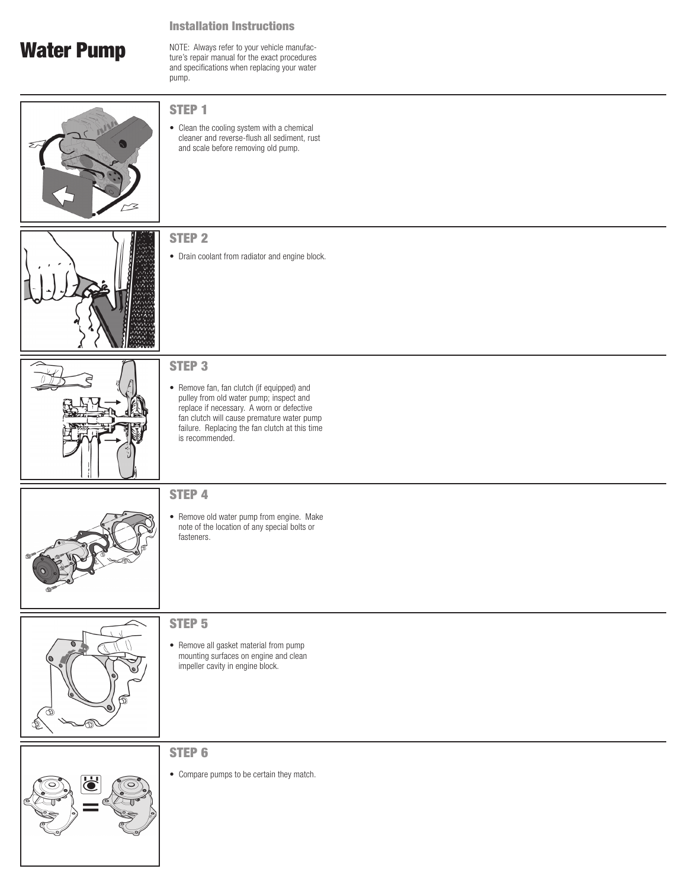#### Installation Instructions

# Water Pump

NOTE: Always refer to your vehicle manufacture's repair manual for the exact procedures and specifications when replacing your water pump.





• Clean the cooling system with a chemical cleaner and reverse-flush all sediment, rust and scale before removing old pump.





STEP 2

#### STEP 3

• Remove fan, fan clutch (if equipped) and pulley from old water pump; inspect and replace if necessary. A worn or defective fan clutch will cause premature water pump failure. Replacing the fan clutch at this time is recommended.



#### STEP 4

• Remove old water pump from engine. Make note of the location of any special bolts or fasteners.



### STEP 5

• Remove all gasket material from pump mounting surfaces on engine and clean impeller cavity in engine block.

#### STEP 6

• Compare pumps to be certain they match.